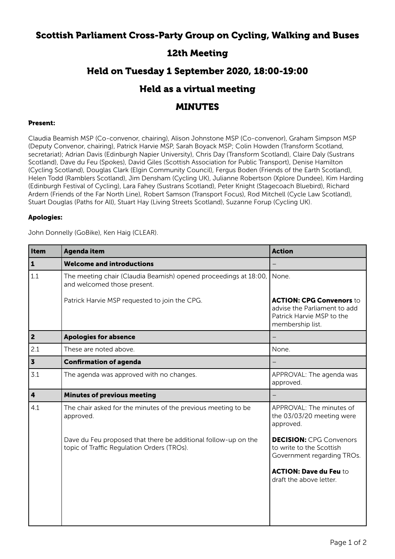# Scottish Parliament Cross-Party Group on Cycling, Walking and Buses

# 12th Meeting

# Held on Tuesday 1 September 2020, 18:00-19:00

### Held as a virtual meeting

### MINUTES

#### Present:

Claudia Beamish MSP (Co-convenor, chairing), Alison Johnstone MSP (Co-convenor), Graham Simpson MSP (Deputy Convenor, chairing), Patrick Harvie MSP, Sarah Boyack MSP; Colin Howden (Transform Scotland, secretariat); Adrian Davis (Edinburgh Napier University), Chris Day (Transform Scotland), Claire Daly (Sustrans Scotland), Dave du Feu (Spokes), David Giles (Scottish Association for Public Transport), Denise Hamilton (Cycling Scotland), Douglas Clark (Elgin Community Council), Fergus Boden (Friends of the Earth Scotland), Helen Todd (Ramblers Scotland), Jim Densham (Cycling UK), Julianne Robertson (Xplore Dundee), Kim Harding (Edinburgh Festival of Cycling), Lara Fahey (Sustrans Scotland), Peter Knight (Stagecoach Bluebird), Richard Ardern (Friends of the Far North Line), Robert Samson (Transport Focus), Rod Mitchell (Cycle Law Scotland), Stuart Douglas (Paths for All), Stuart Hay (Living Streets Scotland), Suzanne Forup (Cycling UK).

#### Apologies:

John Donnelly (GoBike), Ken Haig (CLEAR).

| <b>Item</b>             | <b>Agenda item</b>                                                                                           | <b>Action</b>                                                                                                    |
|-------------------------|--------------------------------------------------------------------------------------------------------------|------------------------------------------------------------------------------------------------------------------|
| $\mathbf{1}$            | <b>Welcome and introductions</b>                                                                             |                                                                                                                  |
| 1.1                     | The meeting chair (Claudia Beamish) opened proceedings at 18:00,<br>and welcomed those present.              | None.                                                                                                            |
|                         | Patrick Harvie MSP requested to join the CPG.                                                                | <b>ACTION: CPG Convenors to</b><br>advise the Parliament to add<br>Patrick Harvie MSP to the<br>membership list. |
| $\overline{\mathbf{2}}$ | <b>Apologies for absence</b>                                                                                 |                                                                                                                  |
| 2.1                     | These are noted above.                                                                                       | None.                                                                                                            |
| $\overline{\mathbf{3}}$ | <b>Confirmation of agenda</b>                                                                                |                                                                                                                  |
| 3.1                     | The agenda was approved with no changes.                                                                     | APPROVAL: The agenda was<br>approved.                                                                            |
| $\overline{\mathbf{4}}$ | <b>Minutes of previous meeting</b>                                                                           |                                                                                                                  |
| 4.1                     | The chair asked for the minutes of the previous meeting to be<br>approved.                                   | APPROVAL: The minutes of<br>the 03/03/20 meeting were<br>approved.                                               |
|                         | Dave du Feu proposed that there be additional follow-up on the<br>topic of Traffic Regulation Orders (TROs). | <b>DECISION: CPG Convenors</b><br>to write to the Scottish<br>Government regarding TROs.                         |
|                         |                                                                                                              | <b>ACTION: Dave du Feu to</b><br>draft the above letter.                                                         |
|                         |                                                                                                              |                                                                                                                  |